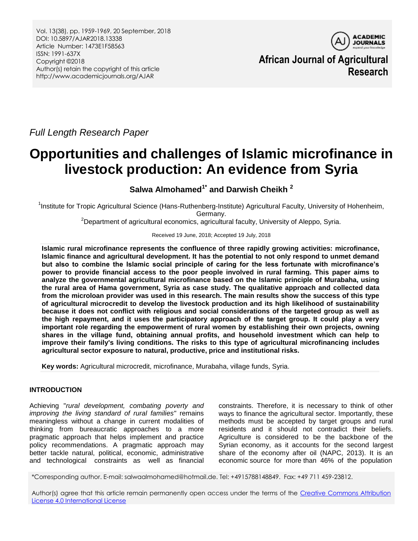

**African Journal of Agricultural Research**

*Full Length Research Paper*

# **Opportunities and challenges of Islamic microfinance in livestock production: An evidence from Syria**

**Salwa Almohamed1\* and Darwish Cheikh <sup>2</sup>**

<sup>1</sup>Institute for Tropic Agricultural Science (Hans-Ruthenberg-Institute) Agricultural Faculty, University of Hohenheim, Germany.

<sup>2</sup>Department of agricultural economics, agricultural faculty, University of Aleppo, Syria.

Received 19 June, 2018; Accepted 19 July, 2018

**Islamic rural microfinance represents the confluence of three rapidly growing activities: microfinance, Islamic finance and agricultural development. It has the potential to not only respond to unmet demand but also to combine the Islamic social principle of caring for the less fortunate with microfinance's power to provide financial access to the poor people involved in rural farming. This paper aims to analyze the governmental agricultural microfinance based on the Islamic principle of Murabaha, using the rural area of Hama government, Syria as case study. The qualitative approach and collected data from the microloan provider was used in this research. The main results show the success of this type of agricultural microcredit to develop the livestock production and its high likelihood of sustainability because it does not conflict with religious and social considerations of the targeted group as well as the high repayment, and it uses the participatory approach of the target group. It could play a very important role regarding the empowerment of rural women by establishing their own projects, owning shares in the village fund, obtaining annual profits, and household investment which can help to improve their family's living conditions. The risks to this type of agricultural microfinancing includes agricultural sector exposure to natural, productive, price and institutional risks.**

**Key words:** Agricultural microcredit, microfinance, Murabaha, village funds, Syria.

# **INTRODUCTION**

Achieving "*rural development, combating poverty and improving the living standard of rural families"* remains meaningless without a change in current modalities of thinking from bureaucratic approaches to a more pragmatic approach that helps implement and practice policy recommendations. A pragmatic approach may better tackle natural, political, economic, administrative and technological constraints as well as financial

constraints. Therefore, it is necessary to think of other ways to finance the agricultural sector. Importantly, these methods must be accepted by target groups and rural residents and it should not contradict their beliefs. Agriculture is considered to be the backbone of the Syrian economy, as it accounts for the second largest share of the economy after oil (NAPC, 2013). It is an economic source for more than 46% of the population

\*Corresponding author. E-mail: salwaalmohamed@hotmail.de. Tel: +4915788148849. Fax: +49 711 459-23812.

Author(s) agree that this article remain permanently open access under the terms of the [Creative Commons Attribution](http://creativecommons.org/licenses/by/4.0/deed.en_US)  [License 4.0 International License](http://creativecommons.org/licenses/by/4.0/deed.en_US)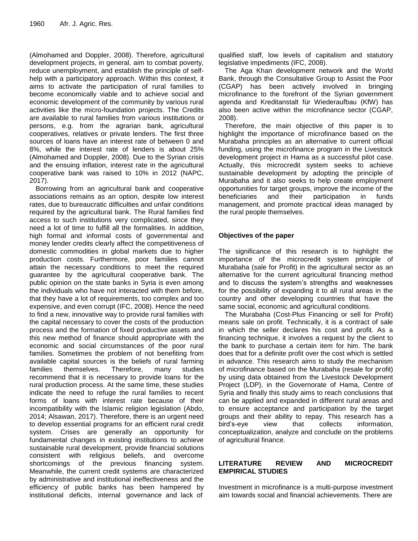(Almohamed and Doppler, 2008). Therefore, agricultural development projects, in general, aim to combat poverty, reduce unemployment, and establish the principle of selfhelp with a participatory approach. Within this context, it aims to activate the participation of rural families to become economically viable and to achieve social and economic development of the community by various rural activities like the micro-foundation projects. The Credits are available to rural families from various institutions or persons, e.g. from the agrarian bank, agricultural cooperatives, relatives or private lenders. The first three sources of loans have an interest rate of between 0 and 8%, while the interest rate of lenders is about 25% (Almohamed and Doppler, 2008). Due to the Syrian crisis and the ensuing inflation, interest rate in the agricultural cooperative bank was raised to 10% in 2012 (NAPC, 2017).

Borrowing from an agricultural bank and cooperative associations remains as an option, despite low interest rates, due to bureaucratic difficulties and unfair conditions required by the agricultural bank. The Rural families find access to such institutions very complicated, since they need a lot of time to fulfill all the formalities. In addition, high formal and informal costs of governmental and money lender credits clearly affect the competitiveness of domestic commodities in global markets due to higher production costs. Furthermore, poor families cannot attain the necessary conditions to meet the required guarantee by the agricultural cooperative bank. The public opinion on the state banks in Syria is even among the individuals who have not interacted with them before, that they have a lot of requirements, too complex and too expensive, and even corrupt (IFC, 2008). Hence the need to find a new, innovative way to provide rural families with the capital necessary to cover the costs of the production process and the formation of fixed productive assets and this new method of finance should appropriate with the economic and social circumstances of the poor rural families. Sometimes the problem of not benefiting from available capital sources is the beliefs of rural farming families themselves. Therefore, many studies recommend that it is necessary to provide loans for the rural production process. At the same time, these studies indicate the need to refuge the rural families to recent forms of loans with interest rate because of their incompatibility with the Islamic religion legislation (Abdo, 2014; Alsawan, 2017). Therefore, there is an urgent need to develop essential programs for an efficient rural credit system. Crises are generally an opportunity for fundamental changes in existing institutions to achieve sustainable rural development, provide financial solutions consistent with religious beliefs, and overcome shortcomings of the previous financing system. Meanwhile, the current credit systems are characterized by administrative and institutional ineffectiveness and the efficiency of public banks has been hampered by institutional deficits, internal governance and lack of

qualified staff, low levels of capitalism and statutory legislative impediments (IFC, 2008).

The Aga Khan development network and the World Bank, through the Consultative Group to Assist the Poor (CGAP) has been actively involved in bringing microfinance to the forefront of the Syrian government agenda and Kreditanstalt für Wiederaufbau (KfW) has also been active within the microfinance sector (CGAP, 2008).

Therefore, the main objective of this paper is to highlight the importance of microfinance based on the Murabaha principles as an alternative to current official funding, using the microfinance program in the Livestock development project in Hama as a successful pilot case. Actually, this microcredit system seeks to achieve sustainable development by adopting the principle of Murabaha and it also seeks to help create employment opportunities for target groups, improve the income of the beneficiaries and their participation in funds management, and promote practical ideas managed by the rural people themselves.

## **Objectives of the paper**

The significance of this research is to highlight the importance of the microcredit system principle of Murabaha (sale for Profit) in the agricultural sector as an alternative for the current agricultural financing method and to discuss the system's strengths and weaknesses for the possibility of expanding it to all rural areas in the country and other developing countries that have the same social, economic and agricultural conditions.

The Murabaha (Cost-Plus Financing or sell for Profit) means sale on profit. Technically, it is a contract of sale in which the seller declares his cost and profit. As a financing technique, it involves a request by the client to the bank to purchase a certain item for him. The bank does that for a definite profit over the cost which is settled in advance. This research aims to study the mechanism of microfinance based on the Murabaha (resale for profit) by using data obtained from the Livestock Development Project (LDP), in the Governorate of Hama, Centre of Syria and finally this study aims to reach conclusions that can be applied and expanded in different rural areas and to ensure acceptance and participation by the target groups and their ability to repay. This research has a bird's-eye view that collects information, conceptualization, analyze and conclude on the problems of agricultural finance.

## **LITERATURE REVIEW AND MICROCREDIT EMPIRICAL STUDIES**

Investment in microfinance is a multi-purpose investment aim towards social and financial achievements. There are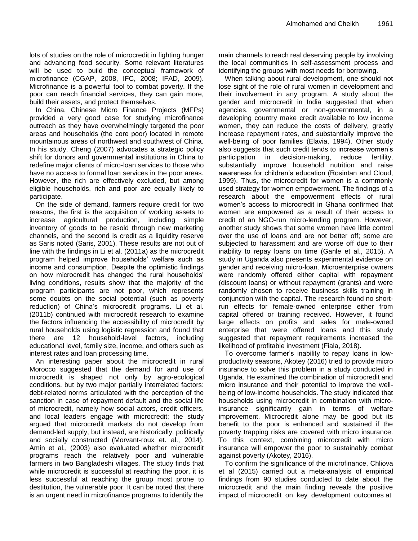lots of studies on the role of microcredit in fighting hunger and advancing food security. Some relevant literatures will be used to build the conceptual framework of microfinance (CGAP, 2008, IFC, 2008; IFAD, 2009). Microfinance is a powerful tool to combat poverty. If the poor can reach financial services, they can gain more, build their assets, and protect themselves.

In China, Chinese Micro Finance Projects (MFPs) provided a very good case for studying microfinance outreach as they have overwhelmingly targeted the poor areas and households (the core poor) located in remote mountainous areas of northwest and southwest of China. In his study, Cheng (2007) advocates a strategic policy shift for donors and governmental institutions in China to redefine major clients of micro-loan services to those who have no access to formal loan services in the poor areas. However, the rich are effectively excluded, but among eligible households, rich and poor are equally likely to participate.

On the side of demand, farmers require credit for two reasons, the first is the acquisition of working assets to increase agricultural production, including simple inventory of goods to be resold through new marketing channels, and the second is credit as a liquidity reserve as Saris noted (Saris, 2001). These results are not out of line with the findings in Li et al. (2011a) as the microcredit program helped improve households' welfare such as income and consumption. Despite the optimistic findings on how microcredit has changed the rural households' living conditions, results show that the majority of the program participants are not poor, which represents some doubts on the social potential (such as poverty reduction) of China's microcredit programs. Li et al. (2011b) continued with microcredit research to examine the factors influencing the accessibility of microcredit by rural households using logistic regression and found that there are 12 household-level factors, including educational level, family size, income, and others such as interest rates and loan processing time.

An interesting paper about the microcredit in rural Morocco suggested that the demand for and use of microcredit is shaped not only by agro-ecological conditions, but by two major partially interrelated factors: debt-related norms articulated with the perception of the sanction in case of repayment default and the social life of microcredit, namely how social actors, credit officers, and local leaders engage with microcredit; the study argued that microcredit markets do not develop from demand-led supply, but instead, are historically, politically and socially constructed (Morvant-roux et. al., 2014). Amin et al., (2003) also evaluated whether microcredit programs reach the relatively poor and vulnerable farmers in two Bangladeshi villages. The study finds that while microcredit is successful at reaching the poor, it is less successful at reaching the group most prone to destitution, the vulnerable poor. It can be noted that there is an urgent need in microfinance programs to identify the main channels to reach real deserving people by involving the local communities in self-assessment process and identifying the groups with most needs for borrowing.

When talking about rural development, one should not lose sight of the role of rural women in development and their involvement in any program. A study about the gender and microcredit in India suggested that when agencies, governmental or non-governmental, in a developing country make credit available to low income women, they can reduce the costs of delivery, greatly increase repayment rates, and substantially improve the well-being of poor families (Elavia, 1994). Other study also suggests that such credit tends to increase women's participation in decision-making, reduce fertility, substantially improve household nutrition and raise awareness for children's education (Rosintan and Cloud, 1999). Thus, the microcredit for women is a commonly used strategy for women empowerment. The findings of a research about the empowerment effects of rural women's access to microcredit in Ghana confirmed that women are empowered as a result of their access to credit of an NGO-run micro-lending program. However, another study shows that some women have little control over the use of loans and are not better off; some are subjected to harassment and are worse off due to their inability to repay loans on time (Ganle et al., 2015). A study in Uganda also presents experimental evidence on gender and receiving micro-loan. Microenterprise owners were randomly offered either capital with repayment (discount loans) or without repayment (grants) and were randomly chosen to receive business skills training in conjunction with the capital. The research found no shortrun effects for female-owned enterprise either from capital offered or training received. However, it found large effects on profits and sales for male-owned enterprise that were offered loans and this study suggested that repayment requirements increased the likelihood of profitable investment (Fiala, 2018).

To overcome farmer's inability to repay loans in lowproductivity seasons, Akotey (2016) tried to provide micro insurance to solve this problem in a study conducted in Uganda. He examined the combination of microcredit and micro insurance and their potential to improve the wellbeing of low-income households. The study indicated that households using microcredit in combination with microinsurance significantly gain in terms of welfare improvement. Microcredit alone may be good but its benefit to the poor is enhanced and sustained if the poverty trapping risks are covered with micro insurance. To this context, combining microcredit with micro insurance will empower the poor to sustainably combat against poverty (Akotey, 2016).

To confirm the significance of the microfinance, Chliova et al (2015) carried out a meta-analysis of empirical findings from 90 studies conducted to date about the microcredit and the main finding reveals the positive impact of microcredit on key development outcomes at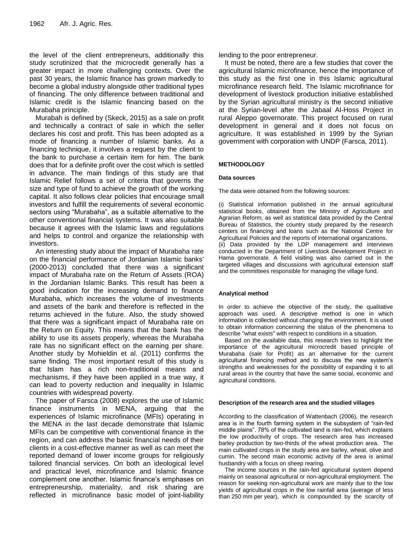the level of the client entrepreneurs, additionally this study scrutinized that the microcredit generally has a greater impact in more challenging contexts. Over the past 30 years, the Islamic finance has grown markedly to become a global industry alongside other traditional types of financing. The only difference between traditional and Islamic credit is the Islamic financing based on the Murabaha principle.

Murabah is defined by (Skeck, 2015) as a sale on profit and technically a contract of sale in which the seller declares his cost and profit. This has been adopted as a mode of financing a number of Islamic banks. As a financing technique, it involves a request by the client to the bank to purchase a certain item for him. The bank does that for a definite profit over the cost which is settled in advance. The main findings of this study are that Islamic Relief follows a set of criteria that governs the size and type of fund to achieve the growth of the working capital. It also follows clear policies that encourage small investors and fulfill the requirements of several economic sectors using "Murabaha", as a suitable alternative to the other conventional financial systems. It was also suitable because it agrees with the Islamic laws and regulations and helps to control and organize the relationship with investors.

An interesting study about the impact of Murabaha rate on the financial performance of Jordanian Islamic banks' (2000-2013) concluded that there was a significant impact of Murabaha rate on the Return of Assets (ROA) in the Jordanian Islamic Banks. This result has been a good indication for the increasing demand to finance Murabaha, which increases the volume of investments and assets of the bank and therefore is reflected in the returns achieved in the future. Also, the study showed that there was a significant impact of Murabaha rate on the Return on Equity. This means that the bank has the ability to use its assets properly, whereas the Murabaha rate has no significant effect on the earning per share. Another study by Mohieldin et al. (2011) confirms the same finding. The most important result of this study is that Islam has a rich non-traditional means and mechanisms, if they have been applied in a true way, it can lead to poverty reduction and inequality in Islamic countries with widespread poverty.

The paper of Farsca (2008) explores the use of Islamic finance instruments in MENA, arguing that the experiences of Islamic microfinance (MFIs) operating in the MENA in the last decade demonstrate that Islamic MFIs can be competitive with conventional finance in the region, and can address the basic financial needs of their clients in a cost-effective manner as well as can meet the reported demand of lower income groups for religiously tailored financial services. On both an ideological level and practical level, microfinance and Islamic finance complement one another. Islamic finance's emphases on entrepreneurship, materiality, and risk sharing are reflected in microfinance basic model of joint-liability lending to the poor entrepreneur.

It must be noted, there are a few studies that cover the agricultural Islamic microfinance, hence the importance of this study as the first one in this Islamic agricultural microfinance research field. The Islamic microfinance for development of livestock production initiative established by the Syrian agricultural ministry is the second initiative at the Syrian-level after the Jabaal Al-Hoss Project in rural Aleppo governorate. This project focused on rural development in general and it does not focus on agriculture. It was established in 1999 by the Syrian government with corporation with UNDP (Farsca, 2011).

#### **METHODOLOGY**

#### **Data sources**

The data were obtained from the following sources:

(i) Statistical information published in the annual agricultural statistical books, obtained from the Ministry of Agriculture and Agrarian Reform, as well as statistical data provided by the Central Bureau of Statistics, the country study prepared by the research centers on financing and loans such as the National Centre for Agricultural Policies and the reports of international organizations. (ii) Data provided by the LDP management and interviews conducted in the Department of Livestock Development Project in Hama governorate. A field visiting was also carried out in the targeted villages and discussions with agricultural extension staff and the committees responsible for managing the village fund.

#### **Analytical method**

In order to achieve the objective of the study, the qualitative approach was used. A descriptive method is one in which information is collected without changing the environment. It is used to obtain information concerning the status of the phenomena to describe "what exists" with respect to conditions in a situation.

Based on the available data, this research tries to highlight the importance of the agricultural microcredit based principle of Murabaha (sale for Profit) as an alternative for the current agricultural financing method and to discuss the new system's strengths and weaknesses for the possibility of expanding it to all rural areas in the country that have the same social, economic and agricultural conditions.

#### **Description of the research area and the studied villages**

According to the classification of Wattenbach (2006), the research area is in the fourth farming system in the subsystem of "rain-fed middle plains". 78% of the cultivated land is rain-fed, which explains the low productivity of crops. The research area has increased barley production by two-thirds of the wheat production area. The main cultivated crops in the study area are barley, wheat, olive and cumin. The second main economic activity of the area is animal husbandry with a focus on sheep rearing.

The income sources in the rain-fed agricultural system depend mainly on seasonal agricultural or non-agricultural employment. The reason for seeking non-agricultural work are mainly due to the low yields of agricultural crops in the low rainfall area (average of less than 250 mm per year), which is compounded by the scarcity of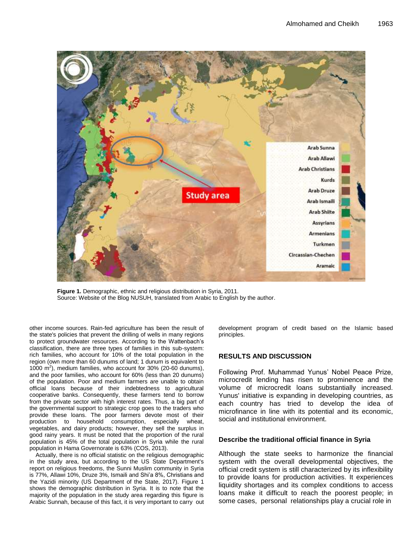

**Figure 1.** Demographic, ethnic and religious distribution in Syria, 2011. Source: Website of the Blog NUSUH, translated from Arabic to English by the author.

other income sources. Rain-fed agriculture has been the result of the state's policies that prevent the drilling of wells in many regions to protect groundwater resources. According to the Wattenbach's classification, there are three types of families in this sub-system: rich families, who account for 10% of the total population in the region (own more than 60 dunums of land; 1 dunum is equivalent to 1000  $\mathrm{m}^2$ ), medium families, who account for 30% (20-60 dunums), and the poor families, who account for 60% (less than 20 dunums) of the population. Poor and medium farmers are unable to obtain official loans because of their indebtedness to agricultural cooperative banks. Consequently, these farmers tend to borrow from the private sector with high interest rates. Thus, a big part of the governmental support to strategic crop goes to the traders who provide these loans. The poor farmers devote most of their production to household consumption, especially wheat, vegetables, and dairy products; however, they sell the surplus in good rainy years. It must be noted that the proportion of the rural population is 45% of the total population in Syria while the rural population in Hama Governorate is 63% (COS, 2013).

Actually, there is no official statistic on the religious demographic in the study area, but according to the US State Department's report on religious freedoms, the Sunni Muslim community in Syria is 77%, Allawi 10%, Druze 3%, Ismaili and Shi'a 8%, Christians and the Yazidi minority (US Department of the State, 2017). Figure 1 shows the demographic distribution in Syria. It is to note that the majority of the population in the study area regarding this figure is Arabic Sunnah, because of this fact, it is very important to carry out

development program of credit based on the Islamic based principles.

## **RESULTS AND DISCUSSION**

Following Prof. Muhammad Yunus' Nobel Peace Prize, microcredit lending has risen to prominence and the volume of microcredit loans substantially increased. Yunus' initiative is expanding in developing countries, as each country has tried to develop the idea of microfinance in line with its potential and its economic, social and institutional environment.

#### **Describe the traditional official finance in Syria**

Although the state seeks to harmonize the financial system with the overall developmental objectives, the official credit system is still characterized by its inflexibility to provide loans for production activities. It experiences liquidity shortages and its complex conditions to access loans make it difficult to reach the poorest people; in some cases, personal relationships play a crucial role in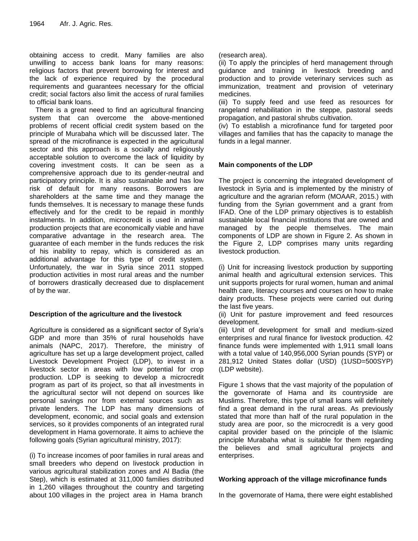obtaining access to credit. Many families are also unwilling to access bank loans for many reasons: religious factors that prevent borrowing for interest and the lack of experience required by the procedural requirements and guarantees necessary for the official credit; social factors also limit the access of rural families to official bank loans.

There is a great need to find an agricultural financing system that can overcome the above-mentioned problems of recent official credit system based on the principle of Murabaha which will be discussed later. The spread of the microfinance is expected in the agricultural sector and this approach is a socially and religiously acceptable solution to overcome the lack of liquidity by covering investment costs. It can be seen as a comprehensive approach due to its gender-neutral and participatory principle. It is also sustainable and has low risk of default for many reasons. Borrowers are shareholders at the same time and they manage the funds themselves. It is necessary to manage these funds effectively and for the credit to be repaid in monthly instalments. In addition, microcredit is used in animal production projects that are economically viable and have comparative advantage in the research area. The guarantee of each member in the funds reduces the risk of his inability to repay, which is considered as an additional advantage for this type of credit system. Unfortunately, the war in Syria since 2011 stopped production activities in most rural areas and the number of borrowers drastically decreased due to displacement of by the war.

## **Description of the agriculture and the livestock**

Agriculture is considered as a significant sector of Syria's GDP and more than 35% of rural households have animals (NAPC, 2017). Therefore, the ministry of agriculture has set up a large development project, called Livestock Development Project (LDP), to invest in a livestock sector in areas with low potential for crop production. LDP is seeking to develop a microcredit program as part of its project, so that all investments in the agricultural sector will not depend on sources like personal savings nor from external sources such as private lenders. The LDP has many dimensions of development, economic, and social goals and extension services, so it provides components of an integrated rural development in Hama governorate. It aims to achieve the following goals (Syrian agricultural ministry, 2017):

(i) To increase incomes of poor families in rural areas and small breeders who depend on livestock production in various agricultural stabilization zones and Al Badia (the Step), which is estimated at 311,000 families distributed in 1,260 villages throughout the country and targeting about 100 villages in the project area in Hama branch

(research area).

(ii) To apply the principles of herd management through guidance and training in livestock breeding and production and to provide veterinary services such as immunization, treatment and provision of veterinary medicines.

(iii) To supply feed and use feed as resources for rangeland rehabilitation in the steppe, pastoral seeds propagation, and pastoral shrubs cultivation.

(iv) To establish a microfinance fund for targeted poor villages and families that has the capacity to manage the funds in a legal manner.

# **Main components of the LDP**

The project is concerning the integrated development of livestock in Syria and is implemented by the ministry of agriculture and the agrarian reform (MOAAR, 2015.) with funding from the Syrian government and a grant from IFAD. One of the LDP primary objectives is to establish sustainable local financial institutions that are owned and managed by the people themselves. The main components of LDP are shown in Figure 2. As shown in the Figure 2, LDP comprises many units regarding livestock production.

(i) Unit for increasing livestock production by supporting animal health and agricultural extension services. This unit supports projects for rural women, human and animal health care, literacy courses and courses on how to make dairy products. These projects were carried out during the last five years.

(ii) Unit for pasture improvement and feed resources development.

(iii) Unit of development for small and medium-sized enterprises and rural finance for livestock production. 42 finance funds were implemented with 1,911 small loans with a total value of 140,956,000 Syrian pounds (SYP) or 281,912 United States dollar (USD) (1USD=500SYP) (LDP website).

Figure 1 shows that the vast majority of the population of the governorate of Hama and its countryside are Muslims. Therefore, this type of small loans will definitely find a great demand in the rural areas. As previously stated that more than half of the rural population in the study area are poor, so the microcredit is a very good capital provider based on the principle of the Islamic principle Murabaha what is suitable for them regarding the believes and small agricultural projects and enterprises.

# **Working approach of the village microfinance funds**

In the governorate of Hama, there were eight established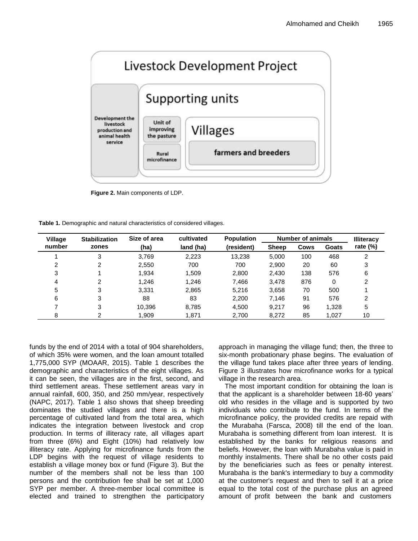

**Figure 2.** Main components of LDP.

**Table 1.** Demographic and natural characteristics of considered villages.

| Village | <b>Stabilization</b><br>zones | Size of area<br>(ha) | cultivated<br>land (ha) | <b>Population</b><br>(resident) | <b>Number of animals</b> |             |          | <b>Illiteracy</b> |
|---------|-------------------------------|----------------------|-------------------------|---------------------------------|--------------------------|-------------|----------|-------------------|
| number  |                               |                      |                         |                                 | <b>Sheep</b>             | <b>Cows</b> | Goats    | rate $(\%)$       |
|         | 3                             | 3.769                | 2.223                   | 13.238                          | 5,000                    | 100         | 468      |                   |
| 2       | 2                             | 2,550                | 700                     | 700                             | 2.900                    | 20          | 60       | 3                 |
| 3       |                               | 1.934                | 1.509                   | 2,800                           | 2,430                    | 138         | 576      | 6                 |
| 4       | 2                             | 1.246                | 1.246                   | 7,466                           | 3.478                    | 876         | $\Omega$ | 2                 |
| 5       | 3                             | 3,331                | 2,865                   | 5,216                           | 3,658                    | 70          | 500      |                   |
| 6       | 3                             | 88                   | 83                      | 2,200                           | 7.146                    | 91          | 576      | 2                 |
|         | 3                             | 10.396               | 8.785                   | 4.500                           | 9.217                    | 96          | 1,328    | 5                 |
| 8       |                               | 1,909                | 1,871                   | 2,700                           | 8,272                    | 85          | 1,027    | 10                |

funds by the end of 2014 with a total of 904 shareholders, of which 35% were women, and the loan amount totalled 1,775,000 SYP (MOAAR, 2015). Table 1 describes the demographic and characteristics of the eight villages. As it can be seen, the villages are in the first, second, and third settlement areas. These settlement areas vary in annual rainfall, 600, 350, and 250 mm/year, respectively (NAPC, 2017). Table 1 also shows that sheep breeding dominates the studied villages and there is a high percentage of cultivated land from the total area, which indicates the integration between livestock and crop production. In terms of illiteracy rate, all villages apart from three (6%) and Eight (10%) had relatively low illiteracy rate. Applying for microfinance funds from the LDP begins with the request of village residents to establish a village money box or fund (Figure 3). But the number of the members shall not be less than 100 persons and the contribution fee shall be set at 1,000 SYP per member. A three-member local committee is elected and trained to strengthen the participatory approach in managing the village fund; then, the three to six-month probationary phase begins. The evaluation of the village fund takes place after three years of lending. Figure 3 illustrates how microfinance works for a typical village in the research area.

The most important condition for obtaining the loan is that the applicant is a shareholder between 18-60 years' old who resides in the village and is supported by two individuals who contribute to the fund. In terms of the microfinance policy, the provided credits are repaid with the Murabaha (Farsca, 2008) till the end of the loan. Murabaha is something different from loan interest. It is established by the banks for religious reasons and beliefs. However, the loan with Murabaha value is paid in monthly instalments. There shall be no other costs paid by the beneficiaries such as fees or penalty interest. Murabaha is the bank's intermediary to buy a commodity at the customer's request and then to sell it at a price equal to the total cost of the purchase plus an agreed amount of profit between the bank and customers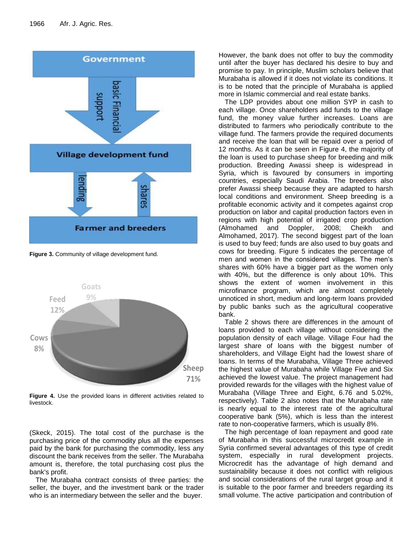

**Figure 3.** Community of village development fund.



**Figure 4.** Use the provided loans in different activities related to livestock.

(Skeck, 2015). The total cost of the purchase is the purchasing price of the commodity plus all the expenses paid by the bank for purchasing the commodity, less any discount the bank receives from the seller. The Murabaha amount is, therefore, the total purchasing cost plus the bank's profit.

The Murabaha contract consists of three parties: the seller, the buyer, and the investment bank or the trader who is an intermediary between the seller and the buyer.

However, the bank does not offer to buy the commodity until after the buyer has declared his desire to buy and promise to pay. In principle, Muslim scholars believe that Murabaha is allowed if it does not violate its conditions. It is to be noted that the principle of Murabaha is applied more in Islamic commercial and real estate banks.

The LDP provides about one million SYP in cash to each village. Once shareholders add funds to the village fund, the money value further increases. Loans are distributed to farmers who periodically contribute to the village fund. The farmers provide the required documents and receive the loan that will be repaid over a period of 12 months. As it can be seen in Figure 4, the majority of the loan is used to purchase sheep for breeding and milk production. Breeding Awassi sheep is widespread in Syria, which is favoured by consumers in importing countries, especially Saudi Arabia. The breeders also prefer Awassi sheep because they are adapted to harsh local conditions and environment. Sheep breeding is a profitable economic activity and it competes against crop production on labor and capital production factors even in regions with high potential of irrigated crop production (Almohamed and Doppler, 2008; Cheikh and Almohamed, 2017). The second biggest part of the loan is used to buy feed; funds are also used to buy goats and cows for breeding. Figure 5 indicates the percentage of men and women in the considered villages. The men's shares with 60% have a bigger part as the women only with 40%, but the difference is only about 10%. This shows the extent of women involvement in this microfinance program, which are almost completely unnoticed in short, medium and long-term loans provided by public banks such as the agricultural cooperative bank.

Table 2 shows there are differences in the amount of loans provided to each village without considering the population density of each village. Village Four had the largest share of loans with the biggest number of shareholders, and Village Eight had the lowest share of loans. In terms of the Murabaha, Village Three achieved the highest value of Murabaha while Village Five and Six achieved the lowest value. The project management had provided rewards for the villages with the highest value of Murabaha (Village Three and Eight, 6.76 and 5.02%, respectively). Table 2 also notes that the Murabaha rate is nearly equal to the interest rate of the agricultural cooperative bank (5%), which is less than the interest rate to non-cooperative farmers, which is usually 8%.

The high percentage of loan repayment and good rate of Murabaha in this successful microcredit example in Syria confirmed several advantages of this type of credit system, especially in rural development projects. Microcredit has the advantage of high demand and sustainability because it does not conflict with religious and social considerations of the rural target group and it is suitable to the poor farmer and breeders regarding its small volume. The active participation and contribution of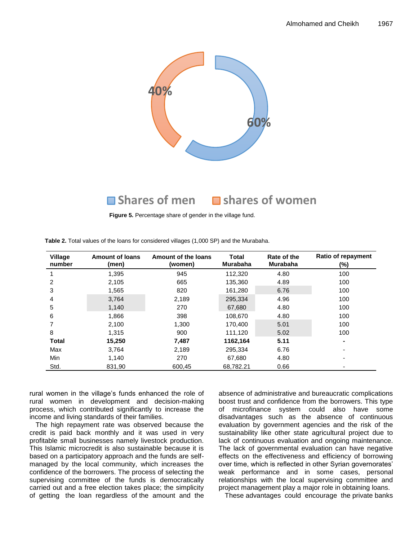

**Figure 5.** Percentage share of gender in the village fund.

| Village<br>number | <b>Amount of loans</b><br>(men) | Amount of the loans<br>(women) | <b>Total</b><br><b>Murabaha</b> | Rate of the<br><b>Murabaha</b> | Ratio of repayment<br>$(\%)$ |
|-------------------|---------------------------------|--------------------------------|---------------------------------|--------------------------------|------------------------------|
|                   | 1,395                           | 945                            | 112,320                         | 4.80                           | 100                          |
| 2                 | 2,105                           | 665                            | 135,360                         | 4.89                           | 100                          |
| 3                 | 1,565                           | 820                            | 161,280                         | 6.76                           | 100                          |
| 4                 | 3,764                           | 2,189                          | 295,334                         | 4.96                           | 100                          |
| 5                 | 1,140                           | 270                            | 67.680                          | 4.80                           | 100                          |
| 6                 | 1,866                           | 398                            | 108,670                         | 4.80                           | 100                          |
|                   | 2,100                           | 1,300                          | 170.400                         | 5.01                           | 100                          |
| 8                 | 1.315                           | 900                            | 111.120                         | 5.02                           | 100                          |
| <b>Total</b>      | 15,250                          | 7,487                          | 1162,164                        | 5.11                           |                              |
| Max               | 3.764                           | 2.189                          | 295.334                         | 6.76                           |                              |
| Min               | 1,140                           | 270                            | 67.680                          | 4.80                           |                              |
| Std.              | 831,90                          | 600,45                         | 68,782.21                       | 0.66                           |                              |

**Table 2.** Total values of the loans for considered villages (1,000 SP) and the Murabaha.

rural women in the village's funds enhanced the role of rural women in development and decision-making process, which contributed significantly to increase the income and living standards of their families.

The high repayment rate was observed because the credit is paid back monthly and it was used in very profitable small businesses namely livestock production. This Islamic microcredit is also sustainable because it is based on a participatory approach and the funds are selfmanaged by the local community, which increases the confidence of the borrowers. The process of selecting the supervising committee of the funds is democratically carried out and a free election takes place; the simplicity of getting the loan regardless of the amount and the

absence of administrative and bureaucratic complications boost trust and confidence from the borrowers. This type of microfinance system could also have some disadvantages such as the absence of continuous evaluation by government agencies and the risk of the sustainability like other state agricultural project due to lack of continuous evaluation and ongoing maintenance. The lack of governmental evaluation can have negative effects on the effectiveness and efficiency of borrowing over time, which is reflected in other Syrian governorates' weak performance and in some cases, personal relationships with the local supervising committee and project management play a major role in obtaining loans.

These advantages could encourage the private banks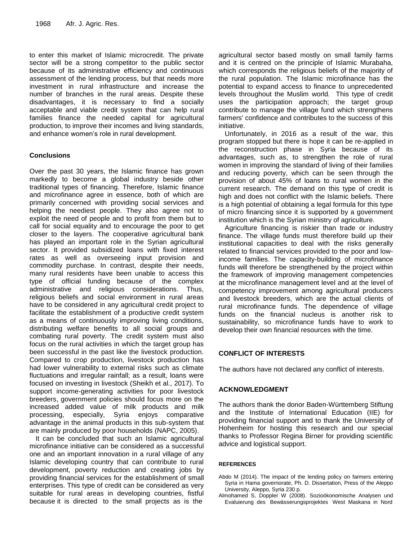to enter this market of Islamic microcredit. The private sector will be a strong competitor to the public sector because of its administrative efficiency and continuous assessment of the lending process, but that needs more investment in rural infrastructure and increase the number of branches in the rural areas. Despite these disadvantages, it is necessary to find a socially acceptable and viable credit system that can help rural families finance the needed capital for agricultural production, to improve their incomes and living standards, and enhance women's role in rural development.

## **Conclusions**

Over the past 30 years, the Islamic finance has grown markedly to become a global industry beside other traditional types of financing. Therefore, Islamic finance and microfinance agree in essence, both of which are primarily concerned with providing social services and helping the neediest people. They also agree not to exploit the need of people and to profit from them but to call for social equality and to encourage the poor to get closer to the layers. The cooperative agricultural bank has played an important role in the Syrian agricultural sector. It provided subsidized loans with fixed interest rates as well as overseeing input provision and commodity purchase. In contrast, despite their needs, many rural residents have been unable to access this type of official funding because of the complex administrative and religious considerations. Thus, religious beliefs and social environment in rural areas have to be considered in any agricultural credit project to facilitate the establishment of a productive credit system as a means of continuously improving living conditions, distributing welfare benefits to all social groups and combating rural poverty. The credit system must also focus on the rural activities in which the target group has been successful in the past like the livestock production. Compared to crop production, livestock production has had lower vulnerability to external risks such as climate fluctuations and irregular rainfall; as a result, loans were focused on investing in livestock (Sheikh et al., 2017). To support income-generating activities for poor livestock breeders, government policies should focus more on the increased added value of milk products and milk processing, especially, Syria enjoys comparative advantage in the animal products in this sub-system that are mainly produced by poor households (NAPC, 2005).

It can be concluded that such an Islamic agricultural microfinance initiative can be considered as a successful one and an important innovation in a rural village of any Islamic developing country that can contribute to rural development, poverty reduction and creating jobs by providing financial services for the establishment of small enterprises. This type of credit can be considered as very suitable for rural areas in developing countries, fistful because it is directed to the small projects as is the

agricultural sector based mostly on small family farms and it is centred on the principle of Islamic Murabaha, which corresponds the religious beliefs of the majority of the rural population. The Islamic microfinance has the potential to expand access to finance to unprecedented levels throughout the Muslim world. This type of credit uses the participation approach; the target group contribute to manage the village fund which strengthens farmers' confidence and contributes to the success of this initiative.

Unfortunately, in 2016 as a result of the war, this program stopped but there is hope it can be re-applied in the reconstruction phase in Syria because of its advantages, such as, to strengthen the role of rural women in improving the standard of living of their families and reducing poverty, which can be seen through the provision of about 45% of loans to rural women in the current research. The demand on this type of credit is high and does not conflict with the Islamic beliefs. There is a high potential of obtaining a legal formula for this type of micro financing since it is supported by a government institution which is the Syrian ministry of agriculture.

Agriculture financing is riskier than trade or industry finance. The village funds must therefore build up their institutional capacities to deal with the risks generally related to financial services provided to the poor and lowincome families. The capacity-building of microfinance funds will therefore be strengthened by the project within the framework of improving management competencies at the microfinance management level and at the level of competency improvement among agricultural producers and livestock breeders, which are the actual clients of rural microfinance funds. The dependence of village funds on the financial nucleus is another risk to sustainability, so microfinance funds have to work to develop their own financial resources with the time.

# **CONFLICT OF INTERESTS**

The authors have not declared any conflict of interests.

## **ACKNOWLEDGMENT**

The authors thank the donor Baden-Württemberg Stiftung and the Institute of International Education (IIE) for providing financial support and to thank the University of Hohenheim for hosting this research and our special thanks to Professor Regina Birner for providing scientific advice and logistical support.

#### **REFERENCES**

- Abdo M (2014). The impact of the lending policy on farmers entering Syria in Hama governorate, Ph. D. Dissertation, Press of the Aleppo University, Aleppo, Syria 230 p.
- Almohamed S, Doppler W (2008). Sozioökonomische Analysen und Evaluierung des Bewässerungsprojektes West Maskana in Nord